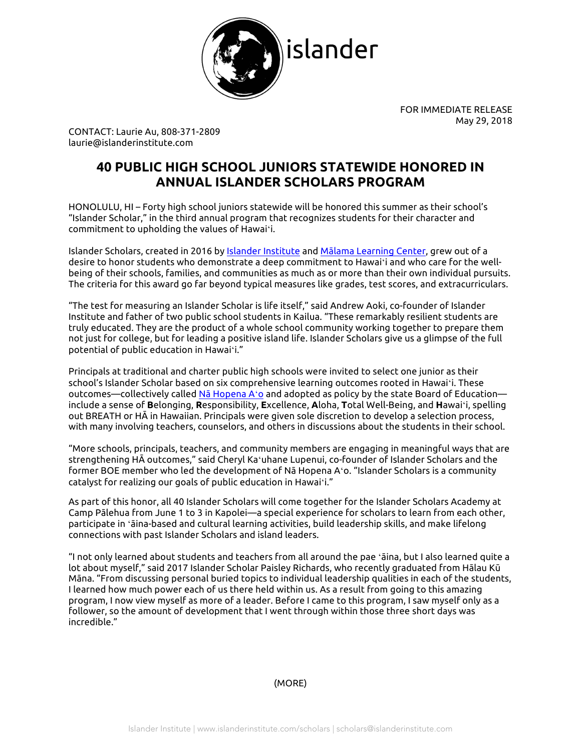

FOR IMMEDIATE RELEASE May 29, 2018

CONTACT: Laurie Au, 808-371-2809 laurie@islanderinstitute.com

## **40 PUBLIC HIGH SCHOOL JUNIORS STATEWIDE HONORED IN ANNUAL ISLANDER SCHOLARS PROGRAM**

HONOLULU, HI – Forty high school juniors statewide will be honored this summer as their school's "Islander Scholar," in the third annual program that recognizes students for their character and commitment to upholding the values of Hawaiʻi.

Islander Scholars, created in 2016 by Islander Institute and Mālama Learning Center, grew out of a desire to honor students who demonstrate a deep commitment to Hawaiʻi and who care for the wellbeing of their schools, families, and communities as much as or more than their own individual pursuits. The criteria for this award go far beyond typical measures like grades, test scores, and extracurriculars.

"The test for measuring an Islander Scholar is life itself," said Andrew Aoki, co-founder of Islander Institute and father of two public school students in Kailua. "These remarkably resilient students are truly educated. They are the product of a whole school community working together to prepare them not just for college, but for leading a positive island life. Islander Scholars give us a glimpse of the full potential of public education in Hawaiʻi."

Principals at traditional and charter public high schools were invited to select one junior as their school's Islander Scholar based on six comprehensive learning outcomes rooted in Hawaiʻi. These outcomes—collectively called Nā Hopena Aʻo and adopted as policy by the state Board of Education include a sense of **B**elonging, **R**esponsibility, **E**xcellence, **A**loha, **T**otal Well-Being, and **H**awaiʻi, spelling out BREATH or HĀ in Hawaiian. Principals were given sole discretion to develop a selection process, with many involving teachers, counselors, and others in discussions about the students in their school.

"More schools, principals, teachers, and community members are engaging in meaningful ways that are strengthening HĀ outcomes," said Cheryl Kaʻuhane Lupenui, co-founder of Islander Scholars and the former BOE member who led the development of Nā Hopena Aʻo. "Islander Scholars is a community catalyst for realizing our goals of public education in Hawaiʻi."

As part of this honor, all 40 Islander Scholars will come together for the Islander Scholars Academy at Camp Pālehua from June 1 to 3 in Kapolei—a special experience for scholars to learn from each other, participate in ʻāina-based and cultural learning activities, build leadership skills, and make lifelong connections with past Islander Scholars and island leaders.

"I not only learned about students and teachers from all around the pae ʻāina, but I also learned quite a lot about myself," said 2017 Islander Scholar Paisley Richards, who recently graduated from Hālau Kū Māna. "From discussing personal buried topics to individual leadership qualities in each of the students, I learned how much power each of us there held within us. As a result from going to this amazing program, I now view myself as more of a leader. Before I came to this program, I saw myself only as a follower, so the amount of development that I went through within those three short days was incredible."

## (MORE)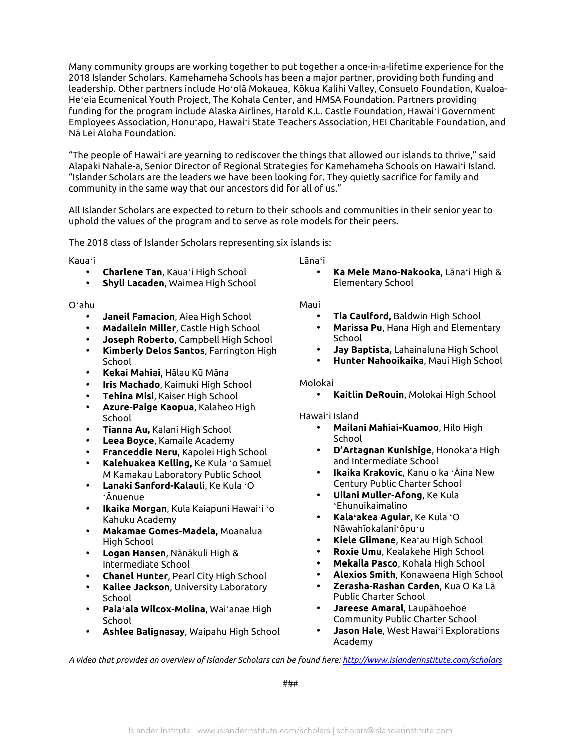Many community groups are working together to put together a once-in-a-lifetime experience for the 2018 Islander Scholars. Kamehameha Schools has been a major partner, providing both funding and leadership. Other partners include Hoʻolā Mokauea, Kōkua Kalihi Valley, Consuelo Foundation, Kualoa-Heʻeia Ecumenical Youth Project, The Kohala Center, and HMSA Foundation. Partners providing funding for the program include Alaska Airlines, Harold K.L. Castle Foundation, Hawaiʻi Government Employees Association, Honuʻapo, Hawaiʻi State Teachers Association, HEI Charitable Foundation, and Nā Lei Aloha Foundation.

"The people of Hawaiʻi are yearning to rediscover the things that allowed our islands to thrive," said Alapaki Nahale-a, Senior Director of Regional Strategies for Kamehameha Schools on Hawaiʻi Island. "Islander Scholars are the leaders we have been looking for. They quietly sacrifice for family and community in the same way that our ancestors did for all of us."

All Islander Scholars are expected to return to their schools and communities in their senior year to uphold the values of the program and to serve as role models for their peers.

The 2018 class of Islander Scholars representing six islands is:

Kauaʻi

- **Charlene Tan**, Kauaʻi High School
- **Shyli Lacaden**, Waimea High School

## Oʻahu

- **Janeil Famacion**, Aiea High School
- **Madailein Miller**, Castle High School
- **Joseph Roberto**, Campbell High School
- **Kimberly Delos Santos**, Farrington High School
- **Kekai Mahiai**, Hālau Kū Māna
- **Iris Machado**, Kaimuki High School
- **Tehina Misi**, Kaiser High School
- **Azure-Paige Kaopua**, Kalaheo High School
- **Tianna Au,** Kalani High School
- **Leea Boyce**, Kamaile Academy
- **Franceddie Neru**, Kapolei High School
- **Kalehuakea Kelling,** Ke Kula ʻo Samuel M Kamakau Laboratory Public School
- **Lanaki Sanford-Kalauli**, Ke Kula ʻO ʻĀnuenue
- **Ikaika Morgan**, Kula Kaiapuni Hawaiʻi ʻo Kahuku Academy
- **Makamae Gomes-Madela,** Moanalua High School
- **Logan Hansen**, Nānākuli High & Intermediate School
- **Chanel Hunter**, Pearl City High School
- **Kailee Jackson**, University Laboratory **School**
- **Paiaʻala Wilcox-Molina**, Waiʻanae High School
- **Ashlee Balignasay**, Waipahu High School

Lānaʻi

• **Ka Mele Mano-Nakooka**, Lānaʻi High & Elementary School

Maui

- **Tia Caulford,** Baldwin High School
- **Marissa Pu**, Hana High and Elementary School
- **Jay Baptista,** Lahainaluna High School
- **Hunter Nahooikaika**, Maui High School

## Molokai

• **Kaitlin DeRouin**, Molokai High School

Hawaiʻi Island

- **Mailani Mahiai-Kuamoo**, Hilo High School
- **D'Artagnan Kunishige**, Honokaʻa High and Intermediate School
- **Ikaika Krakovic**, Kanu o ka ʻĀina New Century Public Charter School
- **Uilani Muller-Afong**, Ke Kula ʻEhunuikaimalino
- **Kalaʻakea Aguiar**, Ke Kula ʻO Nāwahīokalaniʻōpuʻu
- **Kiele Glimane**, Keaʻau High School
- **Roxie Umu**, Kealakehe High School
- **Mekaila Pasco**, Kohala High School
- **Alexios Smith**, Konawaena High School
- **Zerasha-Rashan Carden**, Kua O Ka Lā Public Charter School
- **Jareese Amaral**, Laupāhoehoe Community Public Charter School
- **Jason Hale**, West Hawaiʻi Explorations Academy

*A video that provides an overview of Islander Scholars can be found here: http://www.islanderinstitute.com/scholars*